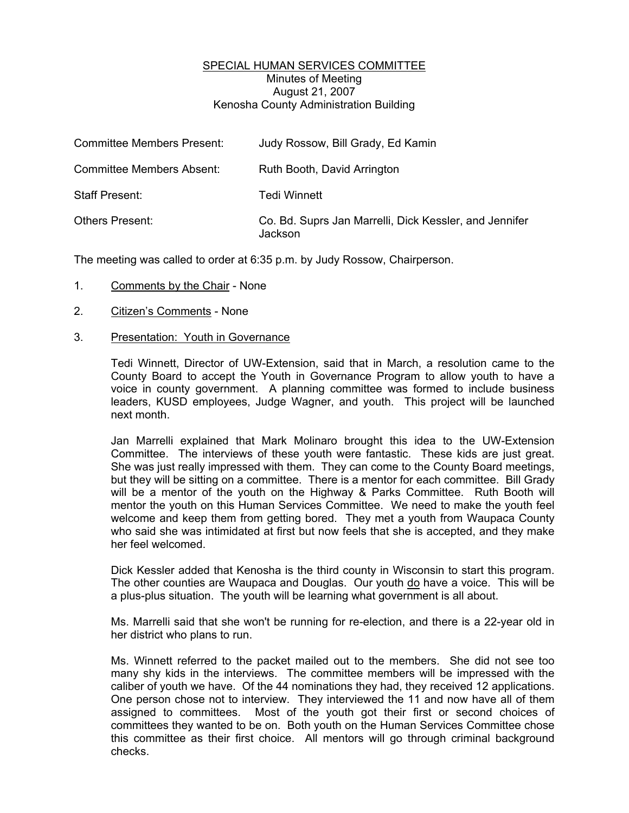## SPECIAL HUMAN SERVICES COMMITTEE Minutes of Meeting August 21, 2007 Kenosha County Administration Building

| <b>Committee Members Present:</b> | Judy Rossow, Bill Grady, Ed Kamin                                 |
|-----------------------------------|-------------------------------------------------------------------|
| <b>Committee Members Absent:</b>  | Ruth Booth, David Arrington                                       |
| <b>Staff Present:</b>             | Tedi Winnett                                                      |
| <b>Others Present:</b>            | Co. Bd. Suprs Jan Marrelli, Dick Kessler, and Jennifer<br>Jackson |

The meeting was called to order at 6:35 p.m. by Judy Rossow, Chairperson.

- 1. Comments by the Chair None
- 2. Citizen's Comments None
- 3. Presentation: Youth in Governance

Tedi Winnett, Director of UW-Extension, said that in March, a resolution came to the County Board to accept the Youth in Governance Program to allow youth to have a voice in county government. A planning committee was formed to include business leaders, KUSD employees, Judge Wagner, and youth. This project will be launched next month.

Jan Marrelli explained that Mark Molinaro brought this idea to the UW-Extension Committee. The interviews of these youth were fantastic. These kids are just great. She was just really impressed with them. They can come to the County Board meetings, but they will be sitting on a committee. There is a mentor for each committee. Bill Grady will be a mentor of the youth on the Highway & Parks Committee. Ruth Booth will mentor the youth on this Human Services Committee. We need to make the youth feel welcome and keep them from getting bored. They met a youth from Waupaca County who said she was intimidated at first but now feels that she is accepted, and they make her feel welcomed.

Dick Kessler added that Kenosha is the third county in Wisconsin to start this program. The other counties are Waupaca and Douglas. Our youth do have a voice. This will be a plus-plus situation. The youth will be learning what government is all about.

Ms. Marrelli said that she won't be running for re-election, and there is a 22-year old in her district who plans to run.

Ms. Winnett referred to the packet mailed out to the members. She did not see too many shy kids in the interviews. The committee members will be impressed with the caliber of youth we have. Of the 44 nominations they had, they received 12 applications. One person chose not to interview. They interviewed the 11 and now have all of them assigned to committees. Most of the youth got their first or second choices of committees they wanted to be on. Both youth on the Human Services Committee chose this committee as their first choice. All mentors will go through criminal background checks.